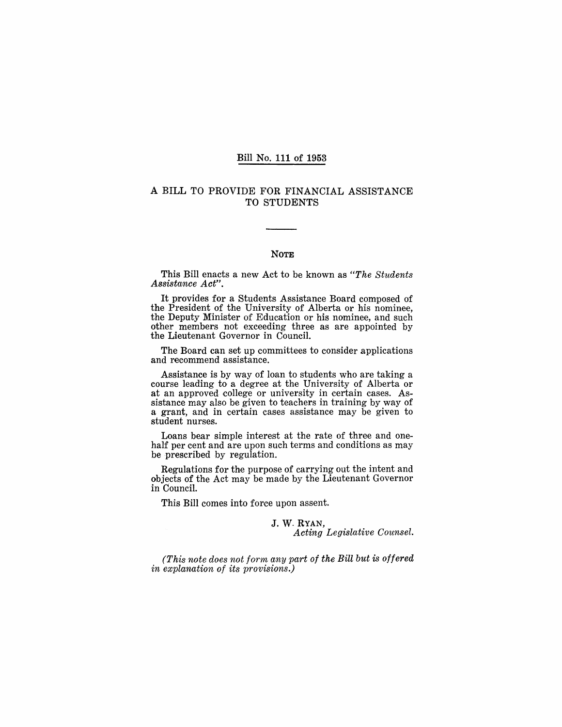### Bill No. 111 of 1953

### A BILL TO PROVIDE FOR FINANCIAL ASSISTANCE TO STUDENTS

### NOTE

This Bill enacts a new Act to be known as *"The Students Assistance Act".* 

It provides for a Students Assistance Board composed of the President of the University of Alberta or his nominee, the Deputy Minister of Education or his nominee, and such other members not exceeding three as are appointed by the Lieutenant Governor in Council.

The Board can set up committees to consider applications and recommend assistance.

Assistance is by way of loan to students who are taking a course leading to a degree at the University of Alberta or at an approved college or university in certain cases. Assistance may also be given to teachers in training by way of a grant, and in certain cases assistance may be given to student nurses.

Loans bear simple interest at the rate of three and onehalf per cent and are upon such terms and conditions as may be prescribed by regulation.

Regulations for the purpose of carrying out the intent and objects of the Act may be made by the Lieutenant Governor in Council.

This Bill comes into force upon assent.

### J. W. RYAN, *Acting Legislative Counsel.*

*(This note does not for'm any part of the Bill but* is *offered in explanation of its provisions.)*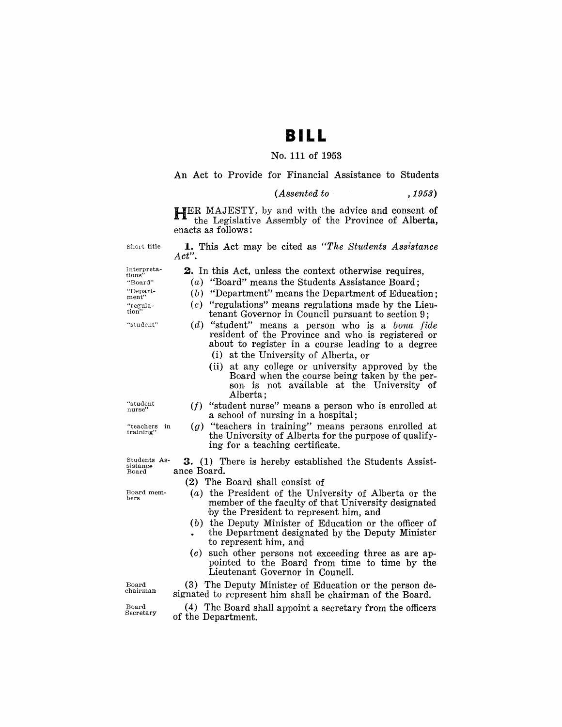## **BILL**

#### No. 111 of 1953

An Act to Provide for Financial Assistance to Students

| (Assented to | , 1953) |
|--------------|---------|
|--------------|---------|

HER MAJESTY, by and with the advice and consent of the Legislative Assembly of the Province of Alberta, enacts as follows:

Short title

**1.** This Act may be dted as *"The Students Assistance Act".* 

**2.** In this Act, unless the context otherwise requires, (a) "Board" means the Students Assistance Board;  $(b)$  "Department" means the Department of Education;  $(c)$  "regulations" means regulations made by the Lieutenant Governor in Council pursuant to section 9; *(d)* "student" means a person who is a *bona fide* resident of the Province and who is registered or about to register in a course leading to a degree

(i) at the University of Alberta, or

Interpretations" "Board" "Depart-<br>ment"

"student"

"student nurse"

"teachers in training"

Board mem- bers

Alberta;  $(f)$  "student nurse" means a person who is enrolled at a school of nursing in a hospital;

(ii) at any college or university approved by the Board when the course being taken by the person is not available at the University of

 $(g)$  "teachers in training" means persons enrolled at the University of Alberta for the purpose of qualifying for a teaching certificate.

Students As-sistance Board **3.** (1) There is hereby established the Students Assistance Board.

(2) The Board shall consist of

- $(a)$  the President of the University of Alberta or the member of the faculty of that University designated by the President to represent him, and
- $(b)$  the Deputy Minister of Education or the officer of the Department designated by the Deputy Minister to' represent him, and
- $(c)$  such other persons not exceeding three as are appointed to the Board from time to time by the Lieutenant Governor in Council.

Board chairman

Board Secretary

 $(4)$  The Board shall appoint a secretary from the officers of the Department.

"regula-tion"

<sup>(3)</sup> The Deputy Minister of Education or the person designated to represent him shall be chairman of the Board.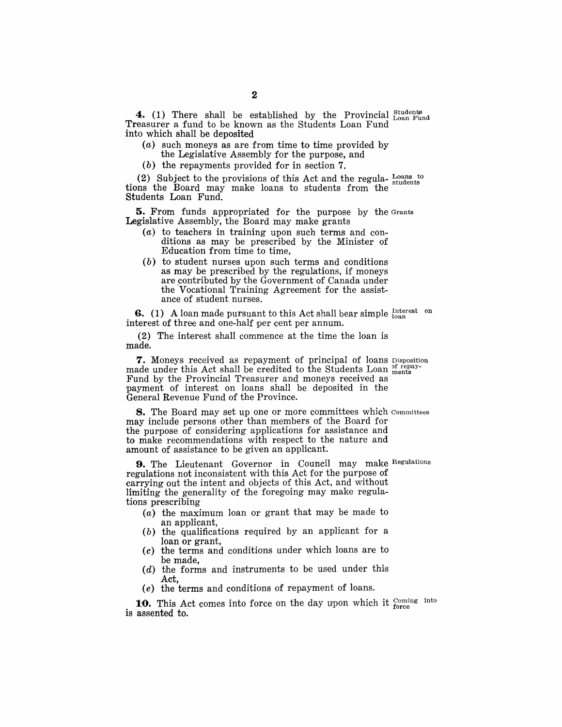**4.** (1) There shall be established by the Provincial  $_{\text{Loan Fund}}^{\text{Student}}$ Treasurer a fund to be known as the Students Loan Fund into which shall be deposited

- $(a)$  such moneys as are from time to time provided by the Legislative Assembly for the purpose, and
- (b) the repayments provided for in section 7.

(2) Subject to the provisions of this Act and the regula-  $_{\text{students}}^{ \text{Loans to}}$ tions the Board may make loans to students from the Students Loan Fund.

**5.** From funds appropriated for the purpose by the Grants Legislative Assembly, the Board may make grants

- (a) to teachers in training upon such terms and conditions as may be prescribed by the Minister of Education from time to time,
- (b) to student nurses upon such terms and conditions as may be prescribed by the regulations, if moneys are contributed by the Government of Canada under the Vocational Training Agreement for the assistance of student nurses.

**6.** (1) A loan made pursuant to this Act shall bear simple  $\frac{\text{Interest}}{\text{loan}}$ interest of three and one-half per cent per annum.

(2) The interest shall commence at the time the loan is made.

**7.** Moneys received as repayment of principal of loans Disposition made under this Act shall be credited to the Students Loan  $_{\text{ments}}^{\text{of repay}}$ Fund by the Provincial Treasurer and moneys received as payment of interest on loans shall be deposited in the General Revenue Fund of the Province.

**8.** The Board may set up one or more committees which committees may include persons other than members of the Board for the purpose of considering applications for assistance and to make recommendations with respect to the nature and amount of assistance to be given an applicant.

9. The Lieutenant Governor in Council may make Regulations regulations not inconsistent with this Act for the purpose of carrying out the intent and objects of this Act, and without limiting the generality of the foregoing may make regulations prescribing

- (a) the maximum loan or grant that may be made to an applicant,
- $(b)$  the qualifications required by an applicant for a loan or grant,
- (c) the terms and conditions under which loans are to be made,
- (d) the forms and instruments to be used under this Act,
- (e) the terms and conditions of repayment of loans.

**10.** This Act comes into force on the day upon which it coming into is assented to.